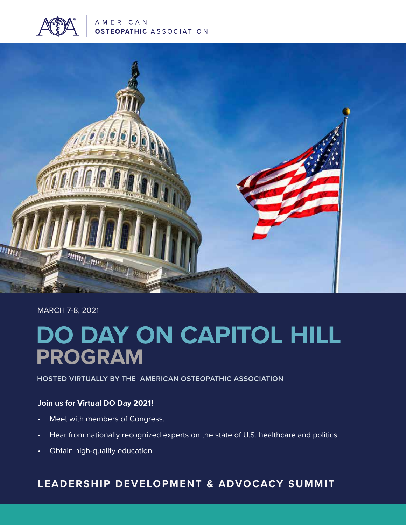

AMERICAN **OSTEOPATHIC ASSOCIATION** 



# MARCH 7-8, 2021

# **DO DAY ON CAPITOL HILL PROGRAM**

## **HOSTED VIRTUALLY BY THE AMERICAN OSTEOPATHIC ASSOCIATION**

### **Join us for Virtual DO Day 2021!**

- Meet with members of Congress.
- Hear from nationally recognized experts on the state of U.S. healthcare and politics.
- Obtain high-quality education.

# **LEADERSHIP DEVELOPMENT & ADVOCACY SUMMIT**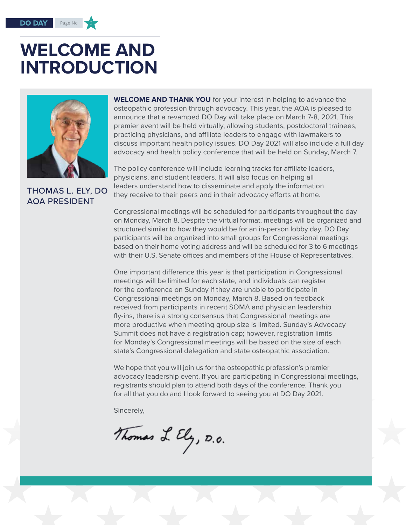#### Page No

# **WELCOME AND INTRODUCTION**



# THOMAS L. ELY, DO AOA PRESIDENT

**WELCOME AND THANK YOU** for your interest in helping to advance the osteopathic profession through advocacy. This year, the AOA is pleased to announce that a revamped DO Day will take place on March 7-8, 2021. This premier event will be held virtually, allowing students, postdoctoral trainees, practicing physicians, and affiliate leaders to engage with lawmakers to discuss important health policy issues. DO Day 2021 will also include a full day advocacy and health policy conference that will be held on Sunday, March 7.

The policy conference will include learning tracks for affiliate leaders, physicians, and student leaders. It will also focus on helping all leaders understand how to disseminate and apply the information they receive to their peers and in their advocacy efforts at home.

Congressional meetings will be scheduled for participants throughout the day on Monday, March 8. Despite the virtual format, meetings will be organized and structured similar to how they would be for an in-person lobby day. DO Day participants will be organized into small groups for Congressional meetings based on their home voting address and will be scheduled for 3 to 6 meetings with their U.S. Senate offices and members of the House of Representatives.

One important difference this year is that participation in Congressional meetings will be limited for each state, and individuals can register for the conference on Sunday if they are unable to participate in Congressional meetings on Monday, March 8. Based on feedback received from participants in recent SOMA and physician leadership fly-ins, there is a strong consensus that Congressional meetings are more productive when meeting group size is limited. Sunday's Advocacy Summit does not have a registration cap; however, registration limits for Monday's Congressional meetings will be based on the size of each state's Congressional delegation and state osteopathic association.

We hope that you will join us for the osteopathic profession's premier advocacy leadership event. If you are participating in Congressional meetings, registrants should plan to attend both days of the conference. Thank you for all that you do and I look forward to seeing you at DO Day 2021.

Sincerely,

Thomas L. Ely, D.O.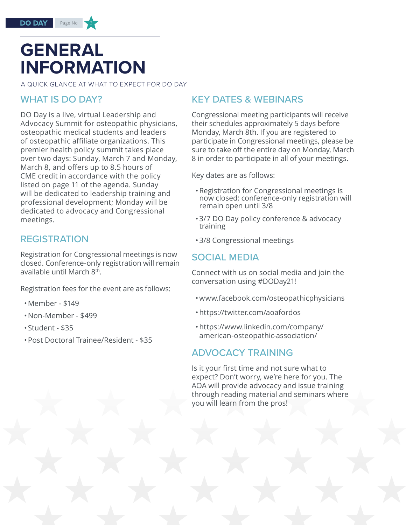# **GENERAL INFORMATION**

Page No

A QUICK GLANCE AT WHAT TO EXPECT FOR DO DAY

# WHAT IS DO DAY?

DO Day is a live, virtual Leadership and Advocacy Summit for osteopathic physicians, osteopathic medical students and leaders of osteopathic affiliate organizations. This premier health policy summit takes place over two days: Sunday, March 7 and Monday, March 8, and offers up to 8.5 hours of CME credit in accordance with the policy listed on page 11 of the agenda. Sunday will be dedicated to leadership training and professional development; Monday will be dedicated to advocacy and Congressional meetings.

# REGISTRATION

Registration for Congressional meetings is now closed. Conference-only registration will remain available until March 8th.

Registration fees for the event are as follows:

- •Member \$149
- •Non-Member \$499
- Student \$35
- •Post Doctoral Trainee/Resident \$35

# KEY DATES & WEBINARS

Congressional meeting participants will receive their schedules approximately 5 days before Monday, March 8th. If you are registered to participate in Congressional meetings, please be sure to take off the entire day on Monday, March 8 in order to participate in all of your meetings.

Key dates are as follows:

- •Registration for Congressional meetings is now closed; conference-only registration will remain open until 3/8
- •3/7 DO Day policy conference & advocacy training
- •3/8 Congressional meetings

# SOCIAL MEDIA

Connect with us on social media and join the conversation using #DODay21!

- •www.facebook.com/osteopathicphysicians
- •https://twitter.com/aoafordos
- •https://www.linkedin.com/company/ american-osteopathic-association/

# ADVOCACY TRAINING

Is it your first time and not sure what to expect? Don't worry, we're here for you. The AOA will provide advocacy and issue training through reading material and seminars where you will learn from the pros!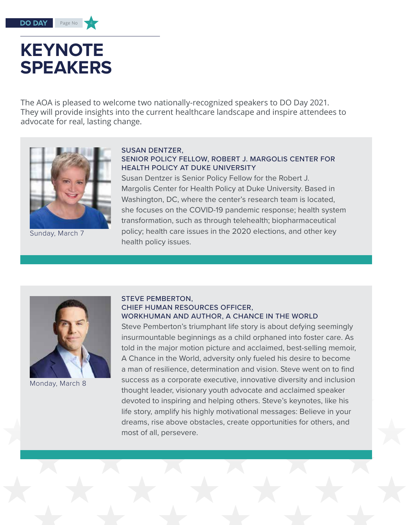# **KEYNOTE SPEAKERS**

Page No

The AOA is pleased to welcome two nationally-recognized speakers to DO Day 2021. They will provide insights into the current healthcare landscape and inspire attendees to advocate for real, lasting change.



Sunday, March 7

## SUSAN DENTZER,

# SENIOR POLICY FELLOW, ROBERT J. MARGOLIS CENTER FOR HEALTH POLICY AT DUKE UNIVERSITY

Susan Dentzer is Senior Policy Fellow for the Robert J. Margolis Center for Health Policy at Duke University. Based in Washington, DC, where the center's research team is located, she focuses on the COVID-19 pandemic response; health system transformation, such as through telehealth; biopharmaceutical policy; health care issues in the 2020 elections, and other key health policy issues.



Monday, March 8

### STEVE PEMBERTON, CHIEF HUMAN RESOURCES OFFICER, WORKHUMAN AND AUTHOR, A CHANCE IN THE WORLD

Steve Pemberton's triumphant life story is about defying seemingly insurmountable beginnings as a child orphaned into foster care. As told in the major motion picture and acclaimed, best-selling memoir, A Chance in the World, adversity only fueled his desire to become a man of resilience, determination and vision. Steve went on to find success as a corporate executive, innovative diversity and inclusion thought leader, visionary youth advocate and acclaimed speaker devoted to inspiring and helping others. Steve's keynotes, like his life story, amplify his highly motivational messages: Believe in your dreams, rise above obstacles, create opportunities for others, and most of all, persevere.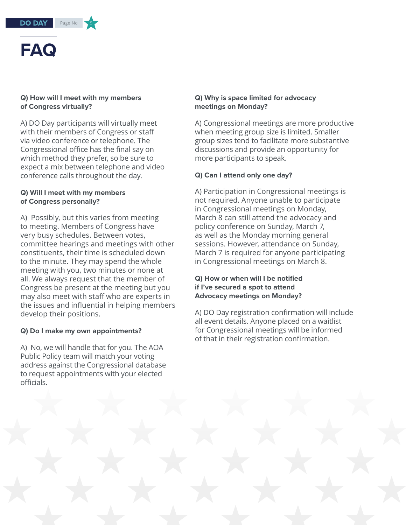

### **Q) How will I meet with my members of Congress virtually?**

A) DO Day participants will virtually meet with their members of Congress or staff via video conference or telephone. The Congressional office has the final say on which method they prefer, so be sure to expect a mix between telephone and video conference calls throughout the day.

### **Q) Will I meet with my members of Congress personally?**

A) Possibly, but this varies from meeting to meeting. Members of Congress have very busy schedules. Between votes, committee hearings and meetings with other constituents, their time is scheduled down to the minute. They may spend the whole meeting with you, two minutes or none at all. We always request that the member of Congress be present at the meeting but you may also meet with staff who are experts in the issues and influential in helping members develop their positions.

## **Q) Do I make my own appointments?**

A) No, we will handle that for you. The AOA Public Policy team will match your voting address against the Congressional database to request appointments with your elected officials.

## **Q) Why is space limited for advocacy meetings on Monday?**

A) Congressional meetings are more productive when meeting group size is limited. Smaller group sizes tend to facilitate more substantive discussions and provide an opportunity for more participants to speak.

## **Q) Can I attend only one day?**

A) Participation in Congressional meetings is not required. Anyone unable to participate in Congressional meetings on Monday, March 8 can still attend the advocacy and policy conference on Sunday, March 7, as well as the Monday morning general sessions. However, attendance on Sunday, March 7 is required for anyone participating in Congressional meetings on March 8.

## **Q) How or when will I be notified if I've secured a spot to attend Advocacy meetings on Monday?**

A) DO Day registration confirmation will include all event details. Anyone placed on a waitlist for Congressional meetings will be informed of that in their registration confirmation.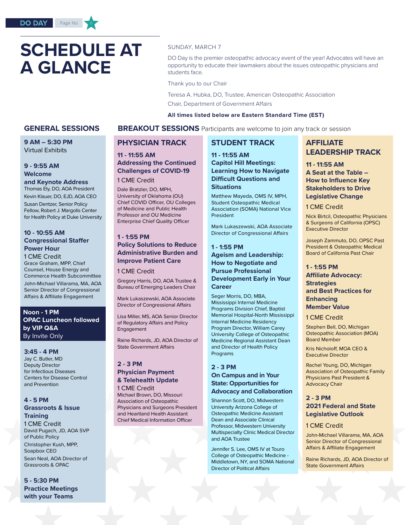# **SCHEDULE AT A GLANCE**

#### SUNDAY, MARCH 7

DO Day is the premier osteopathic advocacy event of the year! Advocates will have an opportunity to educate their lawmakers about the issues osteopathic physicians and students face.

Thank you to our Chair

Teresa A. Hubka, DO, Trustee, American Osteopathic Association Chair, Department of Government Affairs

#### **All times listed below are Eastern Standard Time (EST)**

#### **GENERAL SESSIONS BREAKOUT SESSIONS** Participants are welcome to join any track or session

**9 AM – 5:30 PM**  Virtual Exhibits

### **9 - 9:55 AM Welcome**

**and Keynote Address** Thomas Ely, DO, AOA President Kevin Klauer, DO, EJD, AOA CEO Susan Dentzer, Senior Policy Fellow, Robert J. Margolis Center for Health Policy at Duke University

### **10 - 10:55 AM Congressional Staffer Power Hour**

1 CME Credit Grace Graham, MPP, Chief Counsel, House Energy and Commerce Health Subcommittee John-Michael Villarama, MA, AOA Senior Director of Congressional Affairs & Affiliate Engagement

#### **Noon - 1 PM OPAC Luncheon followed by VIP Q&A** By Invite Only

#### **3:45 - 4 PM**

Jay C. Butler, MD Deputy Director for Infectious Diseases Centers for Disease Control and Prevention

#### **4 - 5 PM**

#### **Grassroots & Issue Training**

1 CME Credit David Pugach, JD, AOA SVP of Public Policy Christopher Kush, MPP, Soapbox CEO Sean Neal, AOA Director of Grassroots & OPAC

**5 - 5:30 PM Practice Meetings with your Teams**

## **PHYSICIAN TRACK**

### **11 - 11:55 AM Addressing the Continued Challenges of COVID-19**

1 CME Credit

Dale Bratzler, DO, MPH, University of Oklahoma (OU) Chief COVID Officer, OU Colleges of Medicine and Public Health Professor and OU Medicine Enterprise Chief Quality Officer

#### **1 - 1:55 PM**

## **Policy Solutions to Reduce Administrative Burden and Improve Patient Care**

#### 1 CME Credit

Gregory Harris, DO, AOA Trustee & Bureau of Emerging Leaders Chair

Mark Lukaszewski, AOA Associate Director of Congressional Affairs

Lisa Miller, MS, AOA Senior Director of Regulatory Affairs and Policy Engagement

Raine Richards, JD, AOA Director of State Government Affairs

#### **2 - 3 PM Physician Payment & Telehealth Update** 1 CME Credit

Michael Brown, DO, Missouri Association of Osteopathic Physicians and Surgeons President and Heartland Health Assistant Chief Medical Information Officer

# **STUDENT TRACK**

**11 - 11:55 AM Capitol Hill Meetings: Learning How to Navigate Difficult Questions and Situations**

Matthew Mayeda, OMS IV, MPH, Student Osteopathic Medical Association (SOMA) National Vice President

Mark Lukaszewski, AOA Associate Director of Congressional Affairs

#### **1 - 1:55 PM Ageism and Leadership: How to Negotiate and Pursue Professional Development Early in Your Career**

Seger Morris, DO, MBA, Mississippi Internal Medicine Programs Division Chief, Baptist Memorial Hospital-North Mississippi Internal Medicine Residency Program Director, William Carey University College of Osteopathic Medicine Regional Assistant Dean and Director of Health Policy Programs

#### **2 - 3 PM On Campus and in Your State: Opportunities for Advocacy and Collaboration**

Shannon Scott, DO, Midwestern University Arizona College of Osteopathic Medicine Assistant Dean and Associate Clinical Professor, Midwestern University Multispecialty Clinic Medical Director and AOA Trustee

Jennifer S. Lee, OMS IV at Touro College of Osteopathic Medicine - Middletown, NY, and SOMA National Director of Political Affairs

## **AFFILIATE LEADERSHIP TRACK**

**11 - 11:55 AM A Seat at the Table – How to Influence Key Stakeholders to Drive Legislative Change**

#### 1 CME Credit

Nick Birtcil, Osteopathic Physicians & Surgeons of California (OPSC) Executive Director

Joseph Zammuto, DO, OPSC Past President & Osteopathic Medical Board of California Past Chair

#### **1 - 1:55 PM Affiliate Advocacy: Strategies and Best Practices for Enhancing Member Value**

1 CME Credit

Stephen Bell, DO, Michigan Osteopathic Association (MOA) Board Member

Kris Nicholoff, MOA CEO & Executive Director

Rachel Young, DO, Michigan Association of Osteopathic Family Physicians Past President & Advocacy Chair

#### **2 - 3 PM 2021 Federal and State Legislative Outlook**

#### 1 CME Credit

John-Michael Villarama, MA, AOA Senior Director of Congressional Affairs & Affiliate Engagement

Raine Richards, JD, AOA Director of State Government Affairs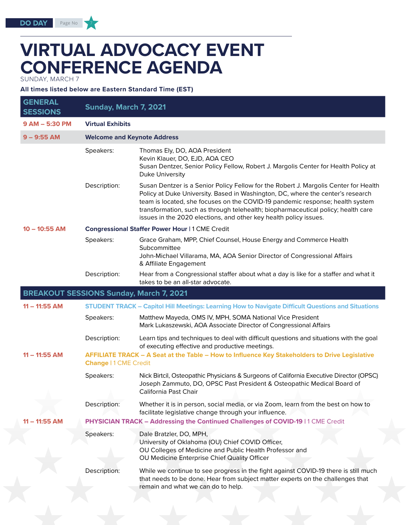# **VIRTUAL ADVOCACY EVENT CONFERENCE AGENDA**

SUNDAY, MARCH 7

**All times listed below are Eastern Standard Time (EST)**

| <b>GENERAL</b><br><b>SESSIONS</b>              | <b>Sunday, March 7, 2021</b>       |                                                                                                                                                                                                                                                                                                                                                                                                                    |
|------------------------------------------------|------------------------------------|--------------------------------------------------------------------------------------------------------------------------------------------------------------------------------------------------------------------------------------------------------------------------------------------------------------------------------------------------------------------------------------------------------------------|
| 9 AM - 5:30 PM                                 | <b>Virtual Exhibits</b>            |                                                                                                                                                                                                                                                                                                                                                                                                                    |
| $9 - 9:55$ AM                                  | <b>Welcome and Keynote Address</b> |                                                                                                                                                                                                                                                                                                                                                                                                                    |
|                                                | Speakers:                          | Thomas Ely, DO, AOA President<br>Kevin Klauer, DO, EJD, AOA CEO<br>Susan Dentzer, Senior Policy Fellow, Robert J. Margolis Center for Health Policy at<br>Duke University                                                                                                                                                                                                                                          |
|                                                | Description:                       | Susan Dentzer is a Senior Policy Fellow for the Robert J. Margolis Center for Health<br>Policy at Duke University. Based in Washington, DC, where the center's research<br>team is located, she focuses on the COVID-19 pandemic response; health system<br>transformation, such as through telehealth; biopharmaceutical policy; health care<br>issues in the 2020 elections, and other key health policy issues. |
| $10 - 10:55$ AM                                |                                    | <b>Congressional Staffer Power Hour   1 CME Credit</b>                                                                                                                                                                                                                                                                                                                                                             |
|                                                | Speakers:                          | Grace Graham, MPP, Chief Counsel, House Energy and Commerce Health<br>Subcommittee<br>John-Michael Villarama, MA, AOA Senior Director of Congressional Affairs<br>& Affiliate Engagement                                                                                                                                                                                                                           |
|                                                | Description:                       | Hear from a Congressional staffer about what a day is like for a staffer and what it<br>takes to be an all-star advocate.                                                                                                                                                                                                                                                                                          |
| <b>BREAKOUT SESSIONS Sunday, March 7, 2021</b> |                                    |                                                                                                                                                                                                                                                                                                                                                                                                                    |
| $11 - 11:55$ AM                                |                                    | <b>STUDENT TRACK - Capitol Hill Meetings: Learning How to Navigate Difficult Questions and Situations</b>                                                                                                                                                                                                                                                                                                          |
|                                                | Speakers:                          | Matthew Mayeda, OMS IV, MPH, SOMA National Vice President<br>Mark Lukaszewski, AOA Associate Director of Congressional Affairs                                                                                                                                                                                                                                                                                     |
|                                                | Description:                       | Learn tips and techniques to deal with difficult questions and situations with the goal<br>of executing effective and productive meetings.                                                                                                                                                                                                                                                                         |
| $11 - 11:55$ AM                                | <b>Change   1 CME Credit</b>       | AFFILIATE TRACK - A Seat at the Table - How to Influence Key Stakeholders to Drive Legislative                                                                                                                                                                                                                                                                                                                     |
|                                                | Speakers:                          | Nick Birtcil, Osteopathic Physicians & Surgeons of California Executive Director (OPSC)<br>Joseph Zammuto, DO, OPSC Past President & Osteopathic Medical Board of<br>California Past Chair                                                                                                                                                                                                                         |
|                                                | Description:                       | Whether it is in person, social media, or via Zoom, learn from the best on how to<br>facilitate legislative change through your influence.                                                                                                                                                                                                                                                                         |
| $11 - 11:55$ AM                                |                                    | PHYSICIAN TRACK - Addressing the Continued Challenges of COVID-19   1 CME Credit                                                                                                                                                                                                                                                                                                                                   |
|                                                | Speakers:                          | Dale Bratzler, DO, MPH,<br>University of Oklahoma (OU) Chief COVID Officer,<br>OU Colleges of Medicine and Public Health Professor and<br>OU Medicine Enterprise Chief Quality Officer                                                                                                                                                                                                                             |
|                                                | Description:                       | While we continue to see progress in the fight against COVID-19 there is still much<br>that needs to be done. Hear from subject matter experts on the challenges that<br>remain and what we can do to help.                                                                                                                                                                                                        |
|                                                |                                    |                                                                                                                                                                                                                                                                                                                                                                                                                    |

Page No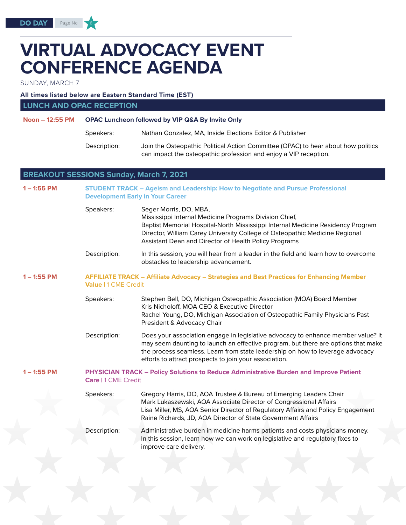SUNDAY, MARCH 7

### **All times listed below are Eastern Standard Time (EST)**

**LUNCH AND OPAC RECEPTION**

Page No

| Noon – 12:55 PM | OPAC Luncheon followed by VIP Q&A By Invite Only |                                                                                                                                                       |
|-----------------|--------------------------------------------------|-------------------------------------------------------------------------------------------------------------------------------------------------------|
|                 | Speakers:                                        | Nathan Gonzalez, MA, Inside Elections Editor & Publisher                                                                                              |
|                 | Description:                                     | Join the Osteopathic Political Action Committee (OPAC) to hear about how politics<br>can impact the osteopathic profession and enjoy a VIP reception. |

## **BREAKOUT SESSIONS Sunday, March 7, 2021**

| $1 - 1:55$ PM | <b>STUDENT TRACK - Ageism and Leadership: How to Negotiate and Pursue Professional</b><br><b>Development Early in Your Career</b> |                                                                                                                                                                                                                                                                                                                  |  |
|---------------|-----------------------------------------------------------------------------------------------------------------------------------|------------------------------------------------------------------------------------------------------------------------------------------------------------------------------------------------------------------------------------------------------------------------------------------------------------------|--|
|               | Speakers:                                                                                                                         | Seger Morris, DO, MBA,<br>Mississippi Internal Medicine Programs Division Chief,<br>Baptist Memorial Hospital-North Mississippi Internal Medicine Residency Program<br>Director, William Carey University College of Osteopathic Medicine Regional<br>Assistant Dean and Director of Health Policy Programs      |  |
|               | Description:                                                                                                                      | In this session, you will hear from a leader in the field and learn how to overcome<br>obstacles to leadership advancement.                                                                                                                                                                                      |  |
| $1 - 1:55$ PM | <b>AFFILIATE TRACK - Affiliate Advocacy - Strategies and Best Practices for Enhancing Member</b><br><b>Value   1 CME Credit</b>   |                                                                                                                                                                                                                                                                                                                  |  |
|               | Speakers:                                                                                                                         | Stephen Bell, DO, Michigan Osteopathic Association (MOA) Board Member<br>Kris Nicholoff, MOA CEO & Executive Director<br>Rachel Young, DO, Michigan Association of Osteopathic Family Physicians Past<br>President & Advocacy Chair                                                                              |  |
|               | Description:                                                                                                                      | Does your association engage in legislative advocacy to enhance member value? It<br>may seem daunting to launch an effective program, but there are options that make<br>the process seamless. Learn from state leadership on how to leverage advocacy<br>efforts to attract prospects to join your association. |  |
| $1 - 1:55$ PM | PHYSICIAN TRACK - Policy Solutions to Reduce Administrative Burden and Improve Patient<br><b>Care   1 CME Credit</b>              |                                                                                                                                                                                                                                                                                                                  |  |
|               | Speakers:                                                                                                                         | Gregory Harris, DO, AOA Trustee & Bureau of Emerging Leaders Chair<br>Mark Lukaszewski, AOA Associate Director of Congressional Affairs<br>Lisa Miller, MS, AOA Senior Director of Regulatory Affairs and Policy Engagement<br>Raine Richards, JD, AOA Director of State Government Affairs                      |  |
|               | Description:                                                                                                                      | Administrative burden in medicine harms patients and costs physicians money.<br>In this session, learn how we can work on legislative and regulatory fixes to<br>improve care delivery.                                                                                                                          |  |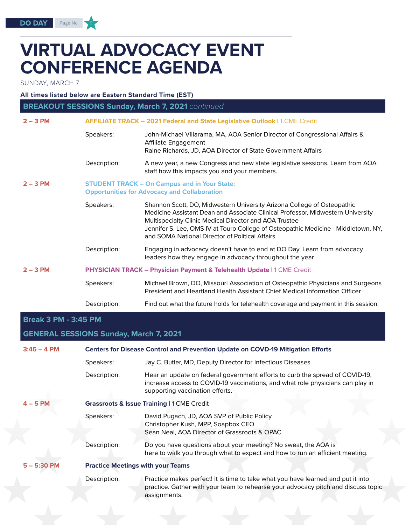# **VIRTUAL ADVOCACY EVENT CONFERENCE AGENDA**

SUNDAY, MARCH 7

**All times listed below are Eastern Standard Time (EST)**

| <b>BREAKOUT SESSIONS Sunday, March 7, 2021</b> continued |                                                                                                            |                                                                                                                                                                                                                                                                                                                                                               |  |
|----------------------------------------------------------|------------------------------------------------------------------------------------------------------------|---------------------------------------------------------------------------------------------------------------------------------------------------------------------------------------------------------------------------------------------------------------------------------------------------------------------------------------------------------------|--|
| $2 - 3$ PM                                               |                                                                                                            | AFFILIATE TRACK - 2021 Federal and State Legislative Outlook   1 CME Credit                                                                                                                                                                                                                                                                                   |  |
|                                                          | Speakers:                                                                                                  | John-Michael Villarama, MA, AOA Senior Director of Congressional Affairs &<br>Affiliate Engagement<br>Raine Richards, JD, AOA Director of State Government Affairs                                                                                                                                                                                            |  |
|                                                          | Description:                                                                                               | A new year, a new Congress and new state legislative sessions. Learn from AOA<br>staff how this impacts you and your members.                                                                                                                                                                                                                                 |  |
| $2 - 3$ PM                                               | <b>STUDENT TRACK - On Campus and in Your State:</b><br><b>Opportunities for Advocacy and Collaboration</b> |                                                                                                                                                                                                                                                                                                                                                               |  |
|                                                          | Speakers:                                                                                                  | Shannon Scott, DO, Midwestern University Arizona College of Osteopathic<br>Medicine Assistant Dean and Associate Clinical Professor, Midwestern University<br>Multispecialty Clinic Medical Director and AOA Trustee<br>Jennifer S. Lee, OMS IV at Touro College of Osteopathic Medicine - Middletown, NY,<br>and SOMA National Director of Political Affairs |  |
|                                                          | Description:                                                                                               | Engaging in advocacy doesn't have to end at DO Day. Learn from advocacy<br>leaders how they engage in advocacy throughout the year.                                                                                                                                                                                                                           |  |
| $2 - 3$ PM                                               |                                                                                                            | <b>PHYSICIAN TRACK - Physician Payment &amp; Telehealth Update   1 CME Credit</b>                                                                                                                                                                                                                                                                             |  |
|                                                          | Speakers:                                                                                                  | Michael Brown, DO, Missouri Association of Osteopathic Physicians and Surgeons<br>President and Heartland Health Assistant Chief Medical Information Officer                                                                                                                                                                                                  |  |
|                                                          | Description:                                                                                               | Find out what the future holds for telehealth coverage and payment in this session.                                                                                                                                                                                                                                                                           |  |
| <b>Break 3 PM - 3:45 PM</b>                              |                                                                                                            |                                                                                                                                                                                                                                                                                                                                                               |  |
|                                                          | <b>GENERAL SESSIONS Sunday, March 7, 2021</b>                                                              |                                                                                                                                                                                                                                                                                                                                                               |  |
|                                                          |                                                                                                            |                                                                                                                                                                                                                                                                                                                                                               |  |

| $3:45 - 4$ PM | <b>Centers for Disease Control and Prevention Update on COVD-19 Mitigation Efforts</b> |                                                                                                                                                                                                   |  |
|---------------|----------------------------------------------------------------------------------------|---------------------------------------------------------------------------------------------------------------------------------------------------------------------------------------------------|--|
|               | Speakers:                                                                              | Jay C. Butler, MD, Deputy Director for Infectious Diseases                                                                                                                                        |  |
|               | Description:                                                                           | Hear an update on federal government efforts to curb the spread of COVID-19,<br>increase access to COVID-19 vaccinations, and what role physicians can play in<br>supporting vaccination efforts. |  |
| $4 - 5$ PM    | <b>Grassroots &amp; Issue Training   1 CME Credit</b>                                  |                                                                                                                                                                                                   |  |
|               | Speakers:                                                                              | David Pugach, JD, AOA SVP of Public Policy<br>Christopher Kush, MPP, Soapbox CEO<br>Sean Neal, AOA Director of Grassroots & OPAC                                                                  |  |
|               | Description:                                                                           | Do you have questions about your meeting? No sweat, the AOA is<br>here to walk you through what to expect and how to run an efficient meeting.                                                    |  |
| $5 - 5:30$ PM | <b>Practice Meetings with your Teams</b>                                               |                                                                                                                                                                                                   |  |
|               | Description:                                                                           | Practice makes perfect! It is time to take what you have learned and put it into<br>practice. Gather with your team to rehearse your advocacy pitch and discuss topic<br>assignments.             |  |
|               |                                                                                        |                                                                                                                                                                                                   |  |

Page No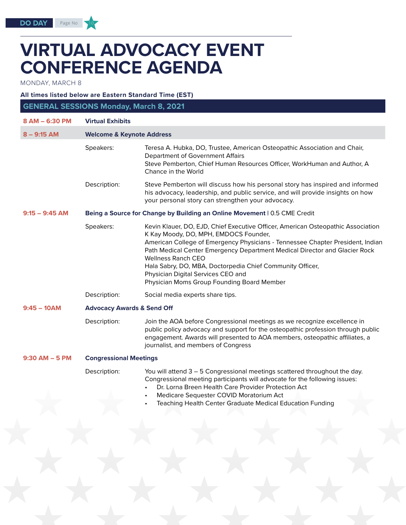# **VIRTUAL ADVOCACY EVENT CONFERENCE AGENDA**

MONDAY, MARCH 8

**DO DAY** 

Page No

**All times listed below are Eastern Standard Time (EST)**

| <b>GENERAL SESSIONS Monday, March 8, 2021</b> |                                                                           |                                                                                                                                                                                                                                                                                                                                                                                                                                                                         |  |
|-----------------------------------------------|---------------------------------------------------------------------------|-------------------------------------------------------------------------------------------------------------------------------------------------------------------------------------------------------------------------------------------------------------------------------------------------------------------------------------------------------------------------------------------------------------------------------------------------------------------------|--|
| 8 AM - 6:30 PM                                | <b>Virtual Exhibits</b>                                                   |                                                                                                                                                                                                                                                                                                                                                                                                                                                                         |  |
| $8 - 9:15$ AM                                 | <b>Welcome &amp; Keynote Address</b>                                      |                                                                                                                                                                                                                                                                                                                                                                                                                                                                         |  |
|                                               | Speakers:                                                                 | Teresa A. Hubka, DO, Trustee, American Osteopathic Association and Chair,<br>Department of Government Affairs<br>Steve Pemberton, Chief Human Resources Officer, WorkHuman and Author, A<br>Chance in the World                                                                                                                                                                                                                                                         |  |
|                                               | Description:                                                              | Steve Pemberton will discuss how his personal story has inspired and informed<br>his advocacy, leadership, and public service, and will provide insights on how<br>your personal story can strengthen your advocacy.                                                                                                                                                                                                                                                    |  |
| $9:15 - 9:45$ AM                              | Being a Source for Change by Building an Online Movement   0.5 CME Credit |                                                                                                                                                                                                                                                                                                                                                                                                                                                                         |  |
|                                               | Speakers:                                                                 | Kevin Klauer, DO, EJD, Chief Executive Officer, American Osteopathic Association<br>K Kay Moody, DO, MPH, EMDOCS Founder,<br>American College of Emergency Physicians - Tennessee Chapter President, Indian<br>Path Medical Center Emergency Department Medical Director and Glacier Rock<br><b>Wellness Ranch CEO</b><br>Hala Sabry, DO, MBA, Doctorpedia Chief Community Officer,<br>Physician Digital Services CEO and<br>Physician Moms Group Founding Board Member |  |
|                                               | Description:                                                              | Social media experts share tips.                                                                                                                                                                                                                                                                                                                                                                                                                                        |  |
| $9:45 - 10AM$                                 | <b>Advocacy Awards &amp; Send Off</b>                                     |                                                                                                                                                                                                                                                                                                                                                                                                                                                                         |  |
|                                               | Description:                                                              | Join the AOA before Congressional meetings as we recognize excellence in<br>public policy advocacy and support for the osteopathic profession through public<br>engagement. Awards will presented to AOA members, osteopathic affiliates, a<br>journalist, and members of Congress                                                                                                                                                                                      |  |
| $9:30$ AM $-5$ PM                             | <b>Congressional Meetings</b>                                             |                                                                                                                                                                                                                                                                                                                                                                                                                                                                         |  |
|                                               | Description:                                                              | You will attend 3 - 5 Congressional meetings scattered throughout the day.<br>Congressional meeting participants will advocate for the following issues:<br>Dr. Lorna Breen Health Care Provider Protection Act                                                                                                                                                                                                                                                         |  |

- Medicare Sequester COVID Moratorium Act
- Teaching Health Center Graduate Medical Education Funding